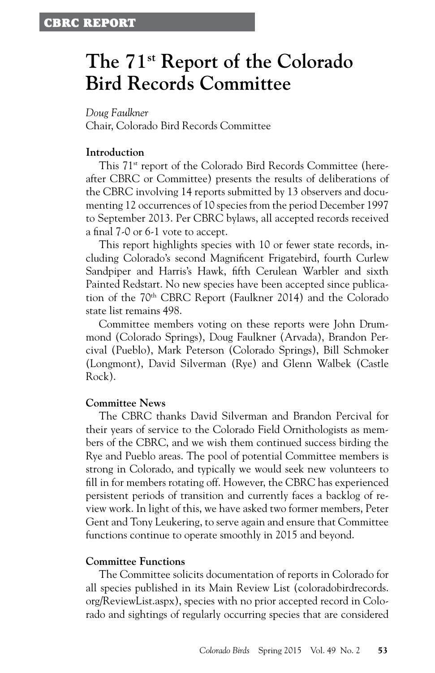# **The 71st Report of the Colorado Bird Records Committee**

*Doug Faulkner* Chair, Colorado Bird Records Committee

# **Introduction**

This 71<sup>st</sup> report of the Colorado Bird Records Committee (hereafter CBRC or Committee) presents the results of deliberations of the CBRC involving 14 reports submitted by 13 observers and documenting 12 occurrences of 10 species from the period December 1997 to September 2013. Per CBRC bylaws, all accepted records received a final 7-0 or 6-1 vote to accept.

This report highlights species with 10 or fewer state records, including Colorado's second Magnificent Frigatebird, fourth Curlew Sandpiper and Harris's Hawk, fifth Cerulean Warbler and sixth Painted Redstart. No new species have been accepted since publication of the 70th CBRC Report (Faulkner 2014) and the Colorado state list remains 498.

Committee members voting on these reports were John Drummond (Colorado Springs), Doug Faulkner (Arvada), Brandon Percival (Pueblo), Mark Peterson (Colorado Springs), Bill Schmoker (Longmont), David Silverman (Rye) and Glenn Walbek (Castle Rock).

## **Committee News**

The CBRC thanks David Silverman and Brandon Percival for their years of service to the Colorado Field Ornithologists as members of the CBRC, and we wish them continued success birding the Rye and Pueblo areas. The pool of potential Committee members is strong in Colorado, and typically we would seek new volunteers to fill in for members rotating off. However, the CBRC has experienced persistent periods of transition and currently faces a backlog of review work. In light of this, we have asked two former members, Peter Gent and Tony Leukering, to serve again and ensure that Committee functions continue to operate smoothly in 2015 and beyond.

## **Committee Functions**

The Committee solicits documentation of reports in Colorado for all species published in its Main Review List (coloradobirdrecords. org/ReviewList.aspx), species with no prior accepted record in Colorado and sightings of regularly occurring species that are considered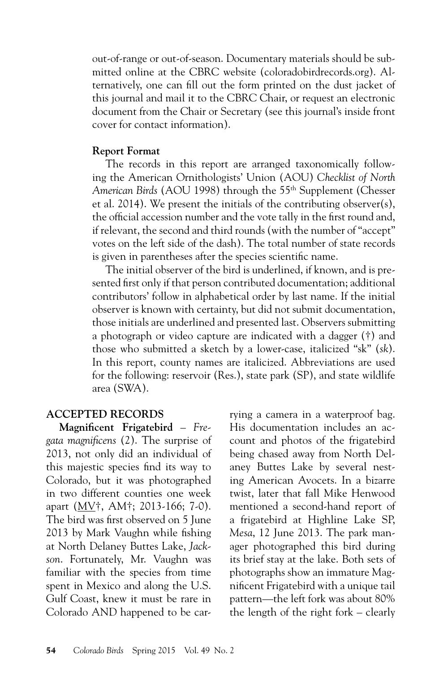out-of-range or out-of-season. Documentary materials should be submitted online at the CBRC website (coloradobirdrecords.org). Alternatively, one can fill out the form printed on the dust jacket of this journal and mail it to the CBRC Chair, or request an electronic document from the Chair or Secretary (see this journal's inside front cover for contact information).

#### **Report Format**

The records in this report are arranged taxonomically following the American Ornithologists' Union (AOU) *Checklist of North*  American Birds (AOU 1998) through the 55<sup>th</sup> Supplement (Chesser et al. 2014). We present the initials of the contributing observer(s), the official accession number and the vote tally in the first round and, if relevant, the second and third rounds (with the number of "accept" votes on the left side of the dash). The total number of state records is given in parentheses after the species scientific name.

The initial observer of the bird is underlined, if known, and is presented first only if that person contributed documentation; additional contributors' follow in alphabetical order by last name. If the initial observer is known with certainty, but did not submit documentation, those initials are underlined and presented last. Observers submitting a photograph or video capture are indicated with a dagger (†) and those who submitted a sketch by a lower-case, italicized "sk" (*sk*). In this report, county names are italicized. Abbreviations are used for the following: reservoir (Res.), state park (SP), and state wildlife area (SWA).

#### **ACCEPTED RECORDS**

**Magnificent Frigatebird** – *Fregata magnificens* (2). The surprise of 2013, not only did an individual of this majestic species find its way to Colorado, but it was photographed in two different counties one week apart (MV†, AM†; 2013-166; 7-0). The bird was first observed on 5 June 2013 by Mark Vaughn while fishing at North Delaney Buttes Lake, *Jackson*. Fortunately, Mr. Vaughn was familiar with the species from time spent in Mexico and along the U.S. Gulf Coast, knew it must be rare in Colorado AND happened to be car-

rying a camera in a waterproof bag. His documentation includes an account and photos of the frigatebird being chased away from North Delaney Buttes Lake by several nesting American Avocets. In a bizarre twist, later that fall Mike Henwood mentioned a second-hand report of a frigatebird at Highline Lake SP, *Mesa*, 12 June 2013. The park manager photographed this bird during its brief stay at the lake. Both sets of photographs show an immature Magnificent Frigatebird with a unique tail pattern—the left fork was about 80% the length of the right fork – clearly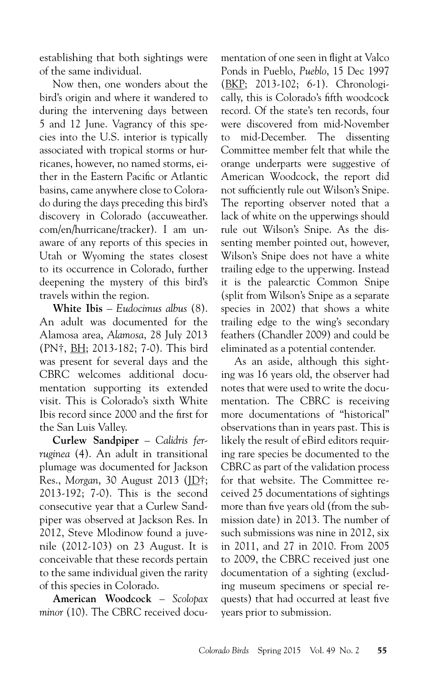establishing that both sightings were of the same individual.

Now then, one wonders about the bird's origin and where it wandered to during the intervening days between 5 and 12 June. Vagrancy of this species into the U.S. interior is typically associated with tropical storms or hurricanes, however, no named storms, either in the Eastern Pacific or Atlantic basins, came anywhere close to Colorado during the days preceding this bird's discovery in Colorado (accuweather. com/en/hurricane/tracker). I am unaware of any reports of this species in Utah or Wyoming the states closest to its occurrence in Colorado, further deepening the mystery of this bird's travels within the region.

**White Ibis** – *Eudocimus albus* (8). An adult was documented for the Alamosa area, *Alamosa*, 28 July 2013 (PN†, BH; 2013-182; 7-0). This bird was present for several days and the CBRC welcomes additional documentation supporting its extended visit. This is Colorado's sixth White Ibis record since 2000 and the first for the San Luis Valley.

**Curlew Sandpiper** – *Calidris ferruginea* (4). An adult in transitional plumage was documented for Jackson Res., *Morgan*, 30 August 2013 (JD†; 2013-192; 7-0). This is the second consecutive year that a Curlew Sandpiper was observed at Jackson Res. In 2012, Steve Mlodinow found a juvenile (2012-103) on 23 August. It is conceivable that these records pertain to the same individual given the rarity of this species in Colorado.

**American Woodcock** – *Scolopax minor* (10). The CBRC received docu-

mentation of one seen in flight at Valco Ponds in Pueblo, *Pueblo*, 15 Dec 1997 (BKP; 2013-102; 6-1). Chronologically, this is Colorado's fifth woodcock record. Of the state's ten records, four were discovered from mid-November to mid-December. The dissenting Committee member felt that while the orange underparts were suggestive of American Woodcock, the report did not sufficiently rule out Wilson's Snipe. The reporting observer noted that a lack of white on the upperwings should rule out Wilson's Snipe. As the dissenting member pointed out, however, Wilson's Snipe does not have a white trailing edge to the upperwing. Instead it is the palearctic Common Snipe (split from Wilson's Snipe as a separate species in 2002) that shows a white trailing edge to the wing's secondary feathers (Chandler 2009) and could be eliminated as a potential contender.

As an aside, although this sighting was 16 years old, the observer had notes that were used to write the documentation. The CBRC is receiving more documentations of "historical" observations than in years past. This is likely the result of eBird editors requiring rare species be documented to the CBRC as part of the validation process for that website. The Committee received 25 documentations of sightings more than five years old (from the submission date) in 2013. The number of such submissions was nine in 2012, six in 2011, and 27 in 2010. From 2005 to 2009, the CBRC received just one documentation of a sighting (excluding museum specimens or special requests) that had occurred at least five years prior to submission.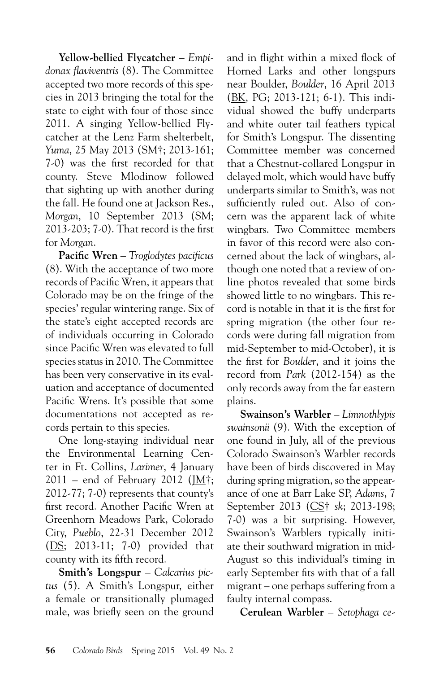**Yellow-bellied Flycatcher** – *Empidonax flaviventris* (8). The Committee accepted two more records of this species in 2013 bringing the total for the state to eight with four of those since 2011. A singing Yellow-bellied Flycatcher at the Lenz Farm shelterbelt, *Yuma*, 25 May 2013 (SM†; 2013-161; 7-0) was the first recorded for that county. Steve Mlodinow followed that sighting up with another during the fall. He found one at Jackson Res., *Morgan*, 10 September 2013 (SM; 2013-203; 7-0). That record is the first for *Morgan*.

**Pacific Wren** – *Troglodytes pacificus* (8). With the acceptance of two more records of Pacific Wren, it appears that Colorado may be on the fringe of the species' regular wintering range. Six of the state's eight accepted records are of individuals occurring in Colorado since Pacific Wren was elevated to full species status in 2010. The Committee has been very conservative in its evaluation and acceptance of documented Pacific Wrens. It's possible that some documentations not accepted as records pertain to this species.

One long-staying individual near the Environmental Learning Center in Ft. Collins, *Larimer*, 4 January 2011 – end of February 2012 ( $[M^{\dagger}$ ; 2012-77; 7-0) represents that county's first record. Another Pacific Wren at Greenhorn Meadows Park, Colorado City, *Pueblo*, 22-31 December 2012 (DS; 2013-11; 7-0) provided that county with its fifth record.

**Smith's Longspur** – *Calcarius pictus* (5). A Smith's Longspur, either a female or transitionally plumaged male, was briefly seen on the ground and in flight within a mixed flock of Horned Larks and other longspurs near Boulder, *Boulder*, 16 April 2013 (BK, PG; 2013-121; 6-1). This individual showed the buffy underparts and white outer tail feathers typical for Smith's Longspur. The dissenting Committee member was concerned that a Chestnut-collared Longspur in delayed molt, which would have buffy underparts similar to Smith's, was not sufficiently ruled out. Also of concern was the apparent lack of white wingbars. Two Committee members in favor of this record were also concerned about the lack of wingbars, although one noted that a review of online photos revealed that some birds showed little to no wingbars. This record is notable in that it is the first for spring migration (the other four records were during fall migration from mid-September to mid-October), it is the first for *Boulder*, and it joins the record from *Park* (2012-154) as the only records away from the far eastern plains.

**Swainson's Warbler** – *Limnothlypis swainsonii* (9). With the exception of one found in July, all of the previous Colorado Swainson's Warbler records have been of birds discovered in May during spring migration, so the appearance of one at Barr Lake SP, *Adams*, 7 September 2013 (CS† *sk*; 2013-198; 7-0) was a bit surprising. However, Swainson's Warblers typically initiate their southward migration in mid-August so this individual's timing in early September fits with that of a fall migrant – one perhaps suffering from a faulty internal compass.

**Cerulean Warbler** – *Setophaga ce-*